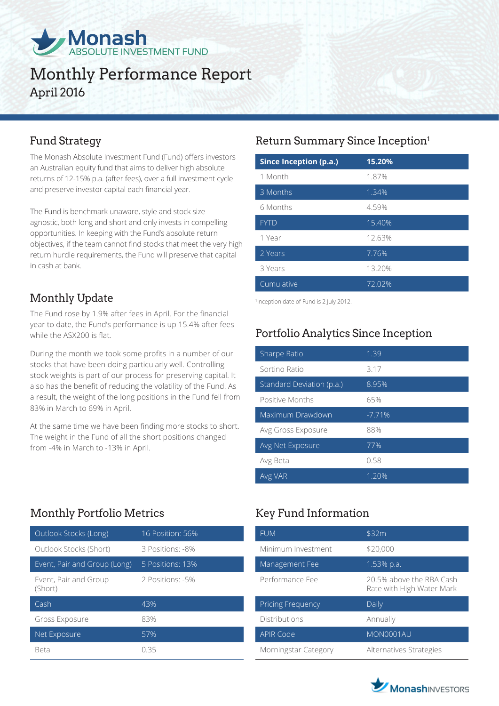

# Monthly Performance Report April 2016

The Monash Absolute Investment Fund (Fund) offers investors an Australian equity fund that aims to deliver high absolute returns of 12-15% p.a. (after fees), over a full investment cycle and preserve investor capital each financial year.

The Fund is benchmark unaware, style and stock size agnostic, both long and short and only invests in compelling opportunities. In keeping with the Fund's absolute return objectives, if the team cannot find stocks that meet the very high return hurdle requirements, the Fund will preserve that capital in cash at bank.

## Monthly Update

The Fund rose by 1.9% after fees in April. For the financial year to date, the Fund's performance is up 15.4% after fees while the ASX200 is flat.

During the month we took some profits in a number of our stocks that have been doing particularly well. Controlling stock weights is part of our process for preserving capital. It also has the benefit of reducing the volatility of the Fund. As a result, the weight of the long positions in the Fund fell from 83% in March to 69% in April.

At the same time we have been finding more stocks to short. The weight in the Fund of all the short positions changed from -4% in March to -13% in April.

## Monthly Portfolio Metrics Key Fund Information

| Outlook Stocks (Long)            | 16 Position: 56% |
|----------------------------------|------------------|
| Outlook Stocks (Short)           | 3 Positions: -8% |
| Event, Pair and Group (Long)     | 5 Positions: 13% |
| Event, Pair and Group<br>(Short) | 2 Positions: -5% |
| Cash                             | 43%              |
| Gross Exposure                   | 83%              |
| Net Exposure                     | 57%              |
| Beta                             | () スト            |

## Fund Strategy **Return Summary Since Inception**<sup>1</sup>

| <b>Since Inception (p.a.)</b> | 15.20% |
|-------------------------------|--------|
| 1 Month                       | 1.87%  |
| 3 Months                      | 1.34%  |
| 6 Months                      | 4.59%  |
| <b>FYTD</b>                   | 15.40% |
| 1 Year                        | 12.63% |
| 2 Years                       | 7.76%  |
| 3 Years                       | 13.20% |
| Cumulative                    | 72.02% |

1 Inception date of Fund is 2 July 2012.

## Portfolio Analytics Since Inception

| Sharpe Ratio              | 1.39     |
|---------------------------|----------|
| Sortino Ratio             | 3.17     |
| Standard Deviation (p.a.) | 8.95%    |
| Positive Months           | 65%      |
| Maximum Drawdown          | $-7.71%$ |
| Avg Gross Exposure        | 88%      |
| Avg Net Exposure          | 77%      |
| Avg Beta                  | 0.58     |
| Avg VAR                   | 1.20%    |

| <b>FUM</b>               | \$32m                                                 |
|--------------------------|-------------------------------------------------------|
| Minimum Investment       | \$20,000                                              |
| Management Fee           | 1.53% p.a.                                            |
| Performance Fee          | 20.5% above the RBA Cash<br>Rate with High Water Mark |
| <b>Pricing Frequency</b> | Daily                                                 |
| Distributions            | Annually                                              |
| <b>APIR Code</b>         | MON0001AU                                             |
| Morningstar Category     | Alternatives Strategies                               |

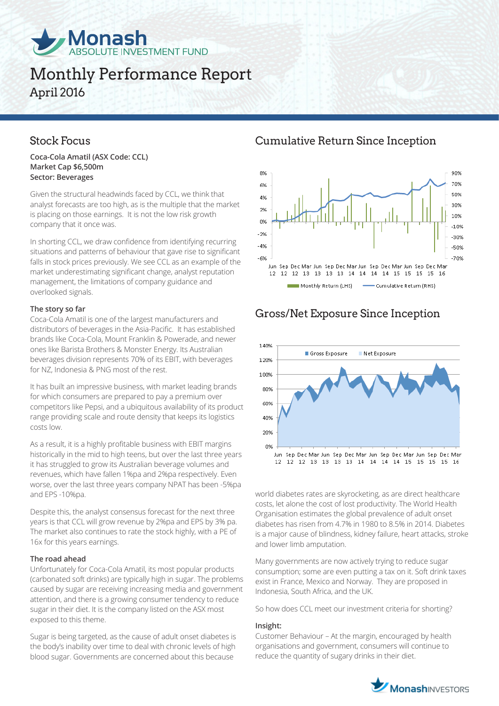

# Monthly Performance Report April 2016

**Coca-Cola Amatil (ASX Code: CCL) Market Cap \$6,500m Sector: Beverages**

Given the structural headwinds faced by CCL, we think that analyst forecasts are too high, as is the multiple that the market is placing on those earnings. It is not the low risk growth company that it once was.

In shorting CCL, we draw confidence from identifying recurring situations and patterns of behaviour that gave rise to significant falls in stock prices previously. We see CCL as an example of the market underestimating significant change, analyst reputation management, the limitations of company guidance and overlooked signals.

### **The story so far**

Coca-Cola Amatil is one of the largest manufacturers and distributors of beverages in the Asia-Pacific. It has established brands like Coca-Cola, Mount Franklin & Powerade, and newer ones like Barista Brothers & Monster Energy. Its Australian beverages division represents 70% of its EBIT, with beverages for NZ, Indonesia & PNG most of the rest.

It has built an impressive business, with market leading brands for which consumers are prepared to pay a premium over competitors like Pepsi, and a ubiquitous availability of its product range providing scale and route density that keeps its logistics costs low.

As a result, it is a highly profitable business with EBIT margins historically in the mid to high teens, but over the last three years it has struggled to grow its Australian beverage volumes and revenues, which have fallen 1%pa and 2%pa respectively. Even worse, over the last three years company NPAT has been -5%pa and EPS -10%pa.

Despite this, the analyst consensus forecast for the next three years is that CCL will grow revenue by 2%pa and EPS by 3% pa. The market also continues to rate the stock highly, with a PE of 16x for this years earnings.

### **The road ahead**

Unfortunately for Coca-Cola Amatil, its most popular products (carbonated soft drinks) are typically high in sugar. The problems caused by sugar are receiving increasing media and government attention, and there is a growing consumer tendency to reduce sugar in their diet. It is the company listed on the ASX most exposed to this theme.

Sugar is being targeted, as the cause of adult onset diabetes is the body's inability over time to deal with chronic levels of high blood sugar. Governments are concerned about this because

Stock Focus Cumulative Return Since Inception



## Gross/Net Exposure Since Inception



world diabetes rates are skyrocketing, as are direct healthcare costs, let alone the cost of lost productivity. The World Health Organisation estimates the global prevalence of adult onset diabetes has risen from 4.7% in 1980 to 8.5% in 2014. Diabetes is a major cause of blindness, kidney failure, heart attacks, stroke and lower limb amputation.

Many governments are now actively trying to reduce sugar consumption; some are even putting a tax on it. Soft drink taxes exist in France, Mexico and Norway. They are proposed in Indonesia, South Africa, and the UK.

So how does CCL meet our investment criteria for shorting?

#### **Insight:**

Customer Behaviour – At the margin, encouraged by health organisations and government, consumers will continue to reduce the quantity of sugary drinks in their diet.